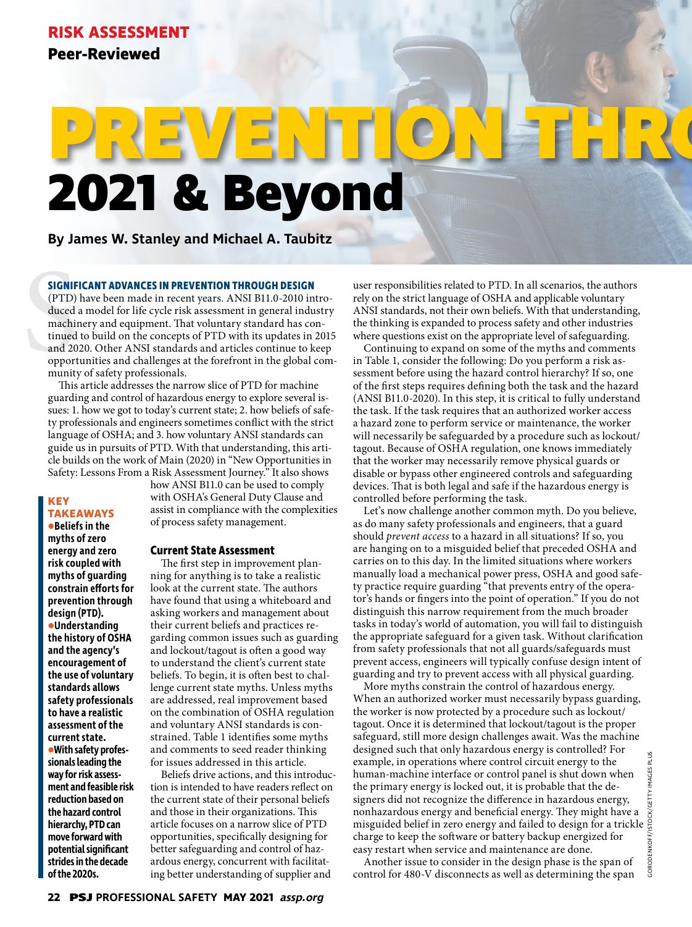# **2021 & Beyond PREVENTION THROUGH DESIGN**

**By James W. Stanley and Michael A. Taubitz**

## **SIGNIFICANT ADVANCES IN PREVENTION THROUGH DESIGN**

**SIGNIF**<br>(PTD)<br>duced<br>machin<br>tinued<br>and 20<br>opport<br>munit! (PTD) have been made in recent years. ANSI B11.0-2010 introduced a model for life cycle risk assessment in general industry machinery and equipment. That voluntary standard has continued to build on the concepts of PTD with its updates in 2015 and 2020. Other ANSI standards and articles continue to keep opportunities and challenges at the forefront in the global community of safety professionals.

This article addresses the narrow slice of PTD for machine guarding and control of hazardous energy to explore several issues: 1. how we got to today's current state; 2. how beliefs of safety professionals and engineers sometimes conflict with the strict language of OSHA; and 3. how voluntary ANSI standards can guide us in pursuits of PTD. With that understanding, this article builds on the work of Main (2020) in "New Opportunities in Safety: Lessons From a Risk Assessment Journey." It also shows

# **KEY TAKEAWAYS**

**•Beliefs in the myths of zero energy and zero risk coupled with myths of guarding constrain efforts for prevention through design (PTD). •Understanding the history of OSHA and the agency's encouragement of the use of voluntary standards allows safety professionals to have a realistic assessment of the current state. •With safety professionals leading the way for risk assessment and feasible risk reduction based on the hazard control hierarchy, PTD can move forward with potential significant strides in the decade of the 2020s.**

how ANSI B11.0 can be used to comply with OSHA's General Duty Clause and assist in compliance with the complexities of process safety management.

## **Current State Assessment**

The first step in improvement planning for anything is to take a realistic look at the current state. The authors have found that using a whiteboard and asking workers and management about their current beliefs and practices regarding common issues such as guarding and lockout/tagout is often a good way to understand the client's current state beliefs. To begin, it is often best to challenge current state myths. Unless myths are addressed, real improvement based on the combination of OSHA regulation and voluntary ANSI standards is constrained. Table 1 identifies some myths and comments to seed reader thinking for issues addressed in this article.

Beliefs drive actions, and this introduction is intended to have readers reflect on the current state of their personal beliefs and those in their organizations. This article focuses on a narrow slice of PTD opportunities, specifically designing for better safeguarding and control of hazardous energy, concurrent with facilitating better understanding of supplier and

user responsibilities related to PTD. In all scenarios, the authors rely on the strict language of OSHA and applicable voluntary ANSI standards, not their own beliefs. With that understanding, the thinking is expanded to process safety and other industries where questions exist on the appropriate level of safeguarding.

Continuing to expand on some of the myths and comments in Table 1, consider the following: Do you perform a risk assessment before using the hazard control hierarchy? If so, one of the first steps requires defining both the task and the hazard (ANSI B11.0-2020). In this step, it is critical to fully understand the task. If the task requires that an authorized worker access a hazard zone to perform service or maintenance, the worker will necessarily be safeguarded by a procedure such as lockout/ tagout. Because of OSHA regulation, one knows immediately that the worker may necessarily remove physical guards or disable or bypass other engineered controls and safeguarding devices. That is both legal and safe if the hazardous energy is controlled before performing the task.

Let's now challenge another common myth. Do you believe, as do many safety professionals and engineers, that a guard should *prevent access* to a hazard in all situations? If so, you are hanging on to a misguided belief that preceded OSHA and carries on to this day. In the limited situations where workers manually load a mechanical power press, OSHA and good safety practice require guarding "that prevents entry of the operator's hands or fingers into the point of operation." If you do not distinguish this narrow requirement from the much broader tasks in today's world of automation, you will fail to distinguish the appropriate safeguard for a given task. Without clarification from safety professionals that not all guards/safeguards must prevent access, engineers will typically confuse design intent of guarding and try to prevent access with all physical guarding.

More myths constrain the control of hazardous energy. When an authorized worker must necessarily bypass guarding, the worker is now protected by a procedure such as lockout/ tagout. Once it is determined that lockout/tagout is the proper safeguard, still more design challenges await. Was the machine designed such that only hazardous energy is controlled? For example, in operations where control circuit energy to the human-machine interface or control panel is shut down when the primary energy is locked out, it is probable that the designers did not recognize the difference in hazardous energy, nonhazardous energy and beneficial energy. They might have a misguided belief in zero energy and failed to design for a trickle charge to keep the software or battery backup energized for easy restart when service and maintenance are done.

Another issue to consider in the design phase is the span of control for 480-V disconnects as well as determining the span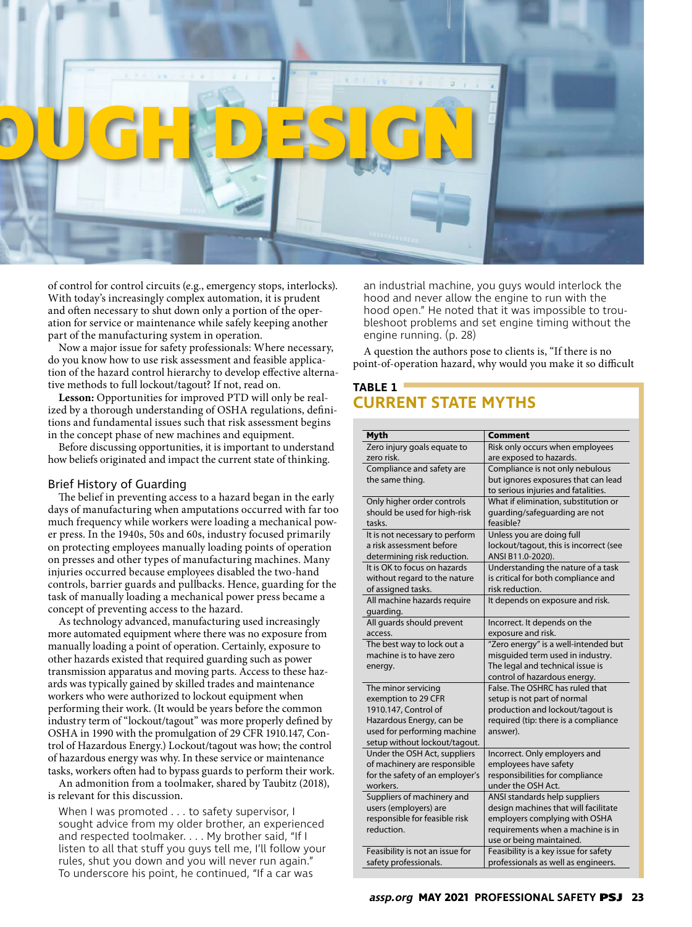

of control for control circuits (e.g., emergency stops, interlocks). With today's increasingly complex automation, it is prudent and often necessary to shut down only a portion of the operation for service or maintenance while safely keeping another part of the manufacturing system in operation.

Now a major issue for safety professionals: Where necessary, do you know how to use risk assessment and feasible application of the hazard control hierarchy to develop effective alternative methods to full lockout/tagout? If not, read on.

**Lesson:** Opportunities for improved PTD will only be realized by a thorough understanding of OSHA regulations, definitions and fundamental issues such that risk assessment begins in the concept phase of new machines and equipment.

Before discussing opportunities, it is important to understand how beliefs originated and impact the current state of thinking.

## Brief History of Guarding

The belief in preventing access to a hazard began in the early days of manufacturing when amputations occurred with far too much frequency while workers were loading a mechanical power press. In the 1940s, 50s and 60s, industry focused primarily on protecting employees manually loading points of operation on presses and other types of manufacturing machines. Many injuries occurred because employees disabled the two-hand controls, barrier guards and pullbacks. Hence, guarding for the task of manually loading a mechanical power press became a concept of preventing access to the hazard.

As technology advanced, manufacturing used increasingly more automated equipment where there was no exposure from manually loading a point of operation. Certainly, exposure to other hazards existed that required guarding such as power transmission apparatus and moving parts. Access to these hazards was typically gained by skilled trades and maintenance workers who were authorized to lockout equipment when performing their work. (It would be years before the common industry term of "lockout/tagout" was more properly defined by OSHA in 1990 with the promulgation of 29 CFR 1910.147, Control of Hazardous Energy.) Lockout/tagout was how; the control of hazardous energy was why. In these service or maintenance tasks, workers often had to bypass guards to perform their work.

An admonition from a toolmaker, shared by Taubitz (2018), is relevant for this discussion.

When I was promoted . . . to safety supervisor, I sought advice from my older brother, an experienced and respected toolmaker. . . . My brother said, "If I listen to all that stuff you guys tell me, I'll follow your rules, shut you down and you will never run again." To underscore his point, he continued, "If a car was

an industrial machine, you guys would interlock the hood and never allow the engine to run with the hood open." He noted that it was impossible to troubleshoot problems and set engine timing without the engine running. (p. 28)

A question the authors pose to clients is, "If there is no point-of-operation hazard, why would you make it so difficult

# **TABLE 1 CURRENT STATE MYTHS**

| <b>Myth</b>                     | Comment                                |
|---------------------------------|----------------------------------------|
| Zero injury goals equate to     | Risk only occurs when employees        |
| zero risk.                      | are exposed to hazards.                |
| Compliance and safety are       | Compliance is not only nebulous        |
| the same thing.                 | but ignores exposures that can lead    |
|                                 | to serious injuries and fatalities.    |
| Only higher order controls      | What if elimination, substitution or   |
| should be used for high-risk    | guarding/safeguarding are not          |
| tasks.                          | feasible?                              |
| It is not necessary to perform  | Unless you are doing full              |
| a risk assessment before        | lockout/tagout, this is incorrect (see |
| determining risk reduction.     | ANSI B11.0-2020).                      |
| It is OK to focus on hazards    | Understanding the nature of a task     |
| without regard to the nature    | is critical for both compliance and    |
| of assigned tasks.              | risk reduction.                        |
| All machine hazards require     | It depends on exposure and risk.       |
| guarding.                       |                                        |
| All guards should prevent       | Incorrect. It depends on the           |
| access.                         | exposure and risk.                     |
| The best way to lock out a      | "Zero energy" is a well-intended but   |
| machine is to have zero         | misquided term used in industry.       |
| energy.                         | The legal and technical issue is       |
|                                 | control of hazardous energy.           |
| The minor servicing             | False. The OSHRC has ruled that        |
| exemption to 29 CFR             | setup is not part of normal            |
| 1910.147, Control of            | production and lockout/tagout is       |
| Hazardous Energy, can be        | required (tip: there is a compliance   |
| used for performing machine     | answer).                               |
| setup without lockout/tagout.   |                                        |
| Under the OSH Act, suppliers    | Incorrect. Only employers and          |
| of machinery are responsible    | employees have safety                  |
| for the safety of an employer's | responsibilities for compliance        |
| workers.                        | under the OSH Act.                     |
| Suppliers of machinery and      | ANSI standards help suppliers          |
| users (employers) are           | design machines that will facilitate   |
| responsible for feasible risk   | employers complying with OSHA          |
| reduction.                      | requirements when a machine is in      |
|                                 | use or being maintained.               |
| Feasibility is not an issue for | Feasibility is a key issue for safety  |
| safety professionals.           | professionals as well as engineers.    |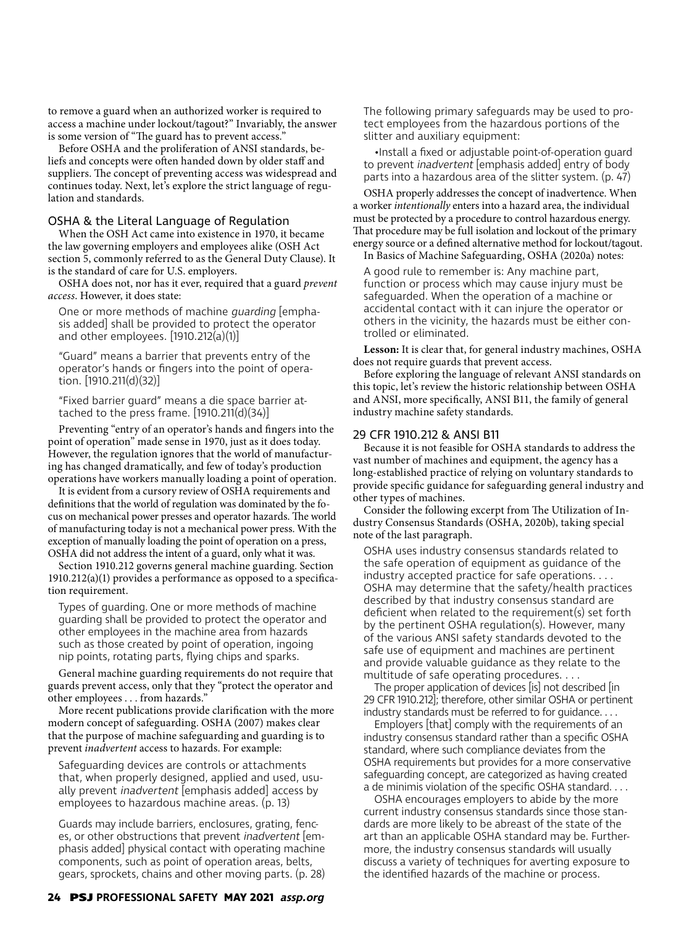to remove a guard when an authorized worker is required to access a machine under lockout/tagout?" Invariably, the answer is some version of "The guard has to prevent access."

Before OSHA and the proliferation of ANSI standards, beliefs and concepts were often handed down by older staff and suppliers. The concept of preventing access was widespread and continues today. Next, let's explore the strict language of regulation and standards.

## OSHA & the Literal Language of Regulation

When the OSH Act came into existence in 1970, it became the law governing employers and employees alike (OSH Act section 5, commonly referred to as the General Duty Clause). It is the standard of care for U.S. employers.

OSHA does not, nor has it ever, required that a guard *prevent access*. However, it does state:

One or more methods of machine guarding [emphasis added] shall be provided to protect the operator and other employees.  $[1910.212(a)(1)]$ 

"Guard" means a barrier that prevents entry of the operator's hands or fingers into the point of operation. [1910.211(d)(32)]

"Fixed barrier guard" means a die space barrier attached to the press frame.  $[1910.211(d)(34)]$ 

Preventing "entry of an operator's hands and fingers into the point of operation" made sense in 1970, just as it does today. However, the regulation ignores that the world of manufacturing has changed dramatically, and few of today's production operations have workers manually loading a point of operation.

It is evident from a cursory review of OSHA requirements and definitions that the world of regulation was dominated by the focus on mechanical power presses and operator hazards. The world of manufacturing today is not a mechanical power press. With the exception of manually loading the point of operation on a press, OSHA did not address the intent of a guard, only what it was.

Section 1910.212 governs general machine guarding. Section 1910.212(a)(1) provides a performance as opposed to a specification requirement.

Types of guarding. One or more methods of machine guarding shall be provided to protect the operator and other employees in the machine area from hazards such as those created by point of operation, ingoing nip points, rotating parts, flying chips and sparks.

General machine guarding requirements do not require that guards prevent access, only that they "protect the operator and other employees . . . from hazards."

More recent publications provide clarification with the more modern concept of safeguarding. OSHA (2007) makes clear that the purpose of machine safeguarding and guarding is to prevent *inadvertent* access to hazards. For example:

Safeguarding devices are controls or attachments that, when properly designed, applied and used, usually prevent *inadvertent* [emphasis added] access by employees to hazardous machine areas. (p. 13)

Guards may include barriers, enclosures, grating, fences, or other obstructions that prevent inadvertent [emphasis added] physical contact with operating machine components, such as point of operation areas, belts, gears, sprockets, chains and other moving parts. (p. 28)

•Install a fixed or adjustable point-of-operation guard to prevent inadvertent [emphasis added] entry of body parts into a hazardous area of the slitter system. (p. 47)

OSHA properly addresses the concept of inadvertence. When a worker *intentionally* enters into a hazard area, the individual must be protected by a procedure to control hazardous energy. That procedure may be full isolation and lockout of the primary energy source or a defined alternative method for lockout/tagout. In Basics of Machine Safeguarding, OSHA (2020a) notes:

A good rule to remember is: Any machine part, function or process which may cause injury must be safeguarded. When the operation of a machine or accidental contact with it can injure the operator or others in the vicinity, the hazards must be either controlled or eliminated.

**Lesson:** It is clear that, for general industry machines, OSHA does not require guards that prevent access.

Before exploring the language of relevant ANSI standards on this topic, let's review the historic relationship between OSHA and ANSI, more specifically, ANSI B11, the family of general industry machine safety standards.

#### 29 CFR 1910.212 & ANSI B11

Because it is not feasible for OSHA standards to address the vast number of machines and equipment, the agency has a long-established practice of relying on voluntary standards to provide specific guidance for safeguarding general industry and other types of machines.

Consider the following excerpt from The Utilization of Industry Consensus Standards (OSHA, 2020b), taking special note of the last paragraph.

OSHA uses industry consensus standards related to the safe operation of equipment as guidance of the industry accepted practice for safe operations. . . . OSHA may determine that the safety/health practices described by that industry consensus standard are deficient when related to the requirement(s) set forth by the pertinent OSHA regulation(s). However, many of the various ANSI safety standards devoted to the safe use of equipment and machines are pertinent and provide valuable guidance as they relate to the multitude of safe operating procedures. . . .

The proper application of devices [is] not described [in 29 CFR 1910.212]; therefore, other similar OSHA or pertinent industry standards must be referred to for guidance. . . .

Employers [that] comply with the requirements of an industry consensus standard rather than a specific OSHA standard, where such compliance deviates from the OSHA requirements but provides for a more conservative safeguarding concept, are categorized as having created a de minimis violation of the specific OSHA standard. . . .

OSHA encourages employers to abide by the more current industry consensus standards since those standards are more likely to be abreast of the state of the art than an applicable OSHA standard may be. Furthermore, the industry consensus standards will usually discuss a variety of techniques for averting exposure to the identified hazards of the machine or process.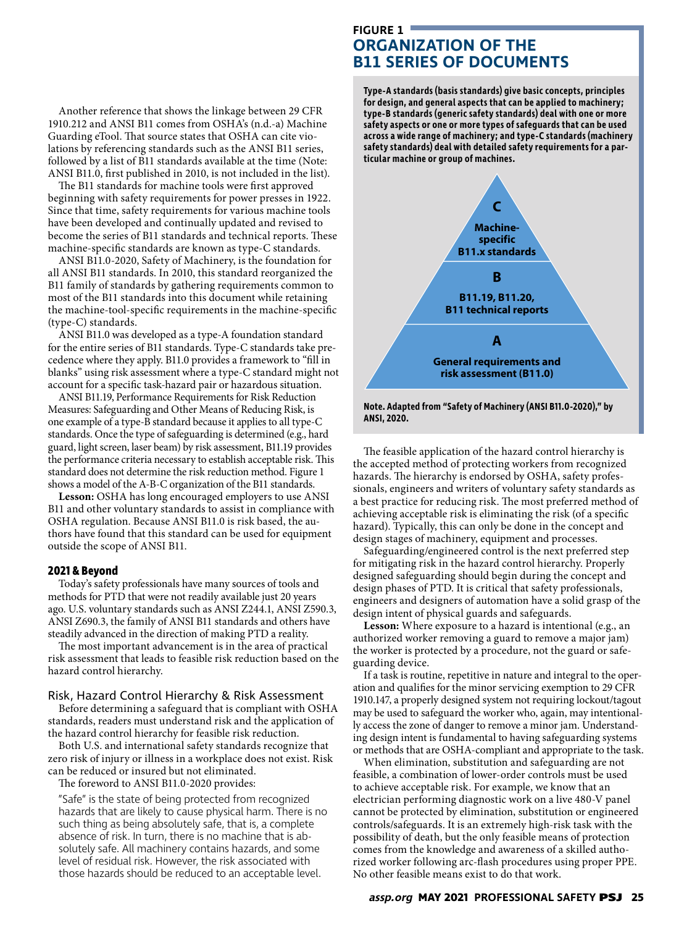Another reference that shows the linkage between 29 CFR 1910.212 and ANSI B11 comes from OSHA's (n.d.-a) Machine Guarding eTool. That source states that OSHA can cite violations by referencing standards such as the ANSI B11 series, followed by a list of B11 standards available at the time (Note: ANSI B11.0, first published in 2010, is not included in the list).

The B11 standards for machine tools were first approved beginning with safety requirements for power presses in 1922. Since that time, safety requirements for various machine tools have been developed and continually updated and revised to become the series of B11 standards and technical reports. These machine-specific standards are known as type-C standards.

ANSI B11.0-2020, Safety of Machinery, is the foundation for all ANSI B11 standards. In 2010, this standard reorganized the B11 family of standards by gathering requirements common to most of the B11 standards into this document while retaining the machine-tool-specific requirements in the machine-specific (type-C) standards.

ANSI B11.0 was developed as a type-A foundation standard for the entire series of B11 standards. Type-C standards take precedence where they apply. B11.0 provides a framework to "fill in blanks" using risk assessment where a type-C standard might not account for a specific task-hazard pair or hazardous situation.

ANSI B11.19, Performance Requirements for Risk Reduction Measures: Safeguarding and Other Means of Reducing Risk, is one example of a type-B standard because it applies to all type-C standards. Once the type of safeguarding is determined (e.g., hard guard, light screen, laser beam) by risk assessment, B11.19 provides the performance criteria necessary to establish acceptable risk. This standard does not determine the risk reduction method. Figure 1 shows a model of the A-B-C organization of the B11 standards.

**Lesson:** OSHA has long encouraged employers to use ANSI B11 and other voluntary standards to assist in compliance with OSHA regulation. Because ANSI B11.0 is risk based, the authors have found that this standard can be used for equipment outside the scope of ANSI B11.

#### **2021 & Beyond**

Today's safety professionals have many sources of tools and methods for PTD that were not readily available just 20 years ago. U.S. voluntary standards such as ANSI Z244.1, ANSI Z590.3, ANSI Z690.3, the family of ANSI B11 standards and others have steadily advanced in the direction of making PTD a reality.

The most important advancement is in the area of practical risk assessment that leads to feasible risk reduction based on the hazard control hierarchy.

#### Risk, Hazard Control Hierarchy & Risk Assessment

Before determining a safeguard that is compliant with OSHA standards, readers must understand risk and the application of the hazard control hierarchy for feasible risk reduction.

Both U.S. and international safety standards recognize that zero risk of injury or illness in a workplace does not exist. Risk can be reduced or insured but not eliminated.

The foreword to ANSI B11.0-2020 provides:

"Safe" is the state of being protected from recognized hazards that are likely to cause physical harm. There is no such thing as being absolutely safe, that is, a complete absence of risk. In turn, there is no machine that is absolutely safe. All machinery contains hazards, and some level of residual risk. However, the risk associated with those hazards should be reduced to an acceptable level.

# **FIGURE 1 ORGANIZATION OF THE B11 SERIES OF DOCUMENTS**

**Type-A standards (basis standards) give basic concepts, principles for design, and general aspects that can be applied to machinery; type-B standards (generic safety standards) deal with one or more safety aspects or one or more types of safeguards that can be used across a wide range of machinery; and type-C standards (machinery safety standards) deal with detailed safety requirements for a particular machine or group of machines.**



**Note. Adapted from "Safety of Machinery (ANSI B11.0-2020)," by ANSI, 2020.**

The feasible application of the hazard control hierarchy is the accepted method of protecting workers from recognized hazards. The hierarchy is endorsed by OSHA, safety professionals, engineers and writers of voluntary safety standards as a best practice for reducing risk. The most preferred method of achieving acceptable risk is eliminating the risk (of a specific hazard). Typically, this can only be done in the concept and design stages of machinery, equipment and processes.

Safeguarding/engineered control is the next preferred step for mitigating risk in the hazard control hierarchy. Properly designed safeguarding should begin during the concept and design phases of PTD. It is critical that safety professionals, engineers and designers of automation have a solid grasp of the design intent of physical guards and safeguards.

**Lesson:** Where exposure to a hazard is intentional (e.g., an authorized worker removing a guard to remove a major jam) the worker is protected by a procedure, not the guard or safeguarding device.

If a task is routine, repetitive in nature and integral to the operation and qualifies for the minor servicing exemption to 29 CFR 1910.147, a properly designed system not requiring lockout/tagout may be used to safeguard the worker who, again, may intentionally access the zone of danger to remove a minor jam. Understanding design intent is fundamental to having safeguarding systems or methods that are OSHA-compliant and appropriate to the task.

When elimination, substitution and safeguarding are not feasible, a combination of lower-order controls must be used to achieve acceptable risk. For example, we know that an electrician performing diagnostic work on a live 480-V panel cannot be protected by elimination, substitution or engineered controls/safeguards. It is an extremely high-risk task with the possibility of death, but the only feasible means of protection comes from the knowledge and awareness of a skilled authorized worker following arc-flash procedures using proper PPE. No other feasible means exist to do that work.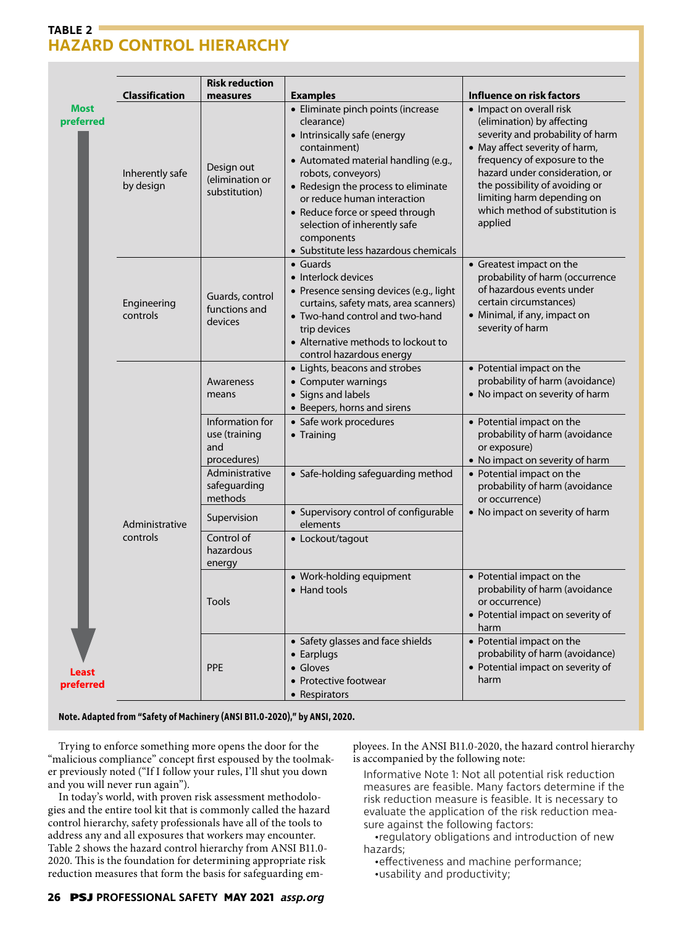# **TABLE 2 HAZARD CONTROL HIERARCHY**

|                                                |                              | <b>Risk reduction</b>                                  |                                                                                                                                                                                                                                                                                                                                                                |                                                                                                                                                                                                                                                                                                              |
|------------------------------------------------|------------------------------|--------------------------------------------------------|----------------------------------------------------------------------------------------------------------------------------------------------------------------------------------------------------------------------------------------------------------------------------------------------------------------------------------------------------------------|--------------------------------------------------------------------------------------------------------------------------------------------------------------------------------------------------------------------------------------------------------------------------------------------------------------|
|                                                | <b>Classification</b>        | measures                                               | <b>Examples</b>                                                                                                                                                                                                                                                                                                                                                | Influence on risk factors                                                                                                                                                                                                                                                                                    |
| <b>Most</b><br>preferred<br>Least<br>preferred | Inherently safe<br>by design | Design out<br>(elimination or<br>substitution)         | · Eliminate pinch points (increase<br>clearance)<br>• Intrinsically safe (energy<br>containment)<br>• Automated material handling (e.g.,<br>robots, conveyors)<br>• Redesign the process to eliminate<br>or reduce human interaction<br>• Reduce force or speed through<br>selection of inherently safe<br>components<br>· Substitute less hazardous chemicals | • Impact on overall risk<br>(elimination) by affecting<br>severity and probability of harm<br>• May affect severity of harm,<br>frequency of exposure to the<br>hazard under consideration, or<br>the possibility of avoiding or<br>limiting harm depending on<br>which method of substitution is<br>applied |
|                                                | Engineering<br>controls      | Guards, control<br>functions and<br>devices            | $\bullet$ Guards<br>• Interlock devices<br>• Presence sensing devices (e.g., light<br>curtains, safety mats, area scanners)<br>• Two-hand control and two-hand<br>trip devices<br>• Alternative methods to lockout to<br>control hazardous energy                                                                                                              | • Greatest impact on the<br>probability of harm (occurrence<br>of hazardous events under<br>certain circumstances)<br>• Minimal, if any, impact on<br>severity of harm                                                                                                                                       |
|                                                | Administrative<br>controls   | Awareness<br>means                                     | • Lights, beacons and strobes<br>• Computer warnings<br>• Signs and labels<br>• Beepers, horns and sirens                                                                                                                                                                                                                                                      | • Potential impact on the<br>probability of harm (avoidance)<br>• No impact on severity of harm                                                                                                                                                                                                              |
|                                                |                              | Information for<br>use (training<br>and<br>procedures) | • Safe work procedures<br>• Training                                                                                                                                                                                                                                                                                                                           | • Potential impact on the<br>probability of harm (avoidance<br>or exposure)<br>• No impact on severity of harm                                                                                                                                                                                               |
|                                                |                              | Administrative<br>safeguarding<br>methods              | • Safe-holding safeguarding method                                                                                                                                                                                                                                                                                                                             | • Potential impact on the<br>probability of harm (avoidance<br>or occurrence)                                                                                                                                                                                                                                |
|                                                |                              | Supervision                                            | • Supervisory control of configurable<br>elements                                                                                                                                                                                                                                                                                                              | • No impact on severity of harm                                                                                                                                                                                                                                                                              |
|                                                |                              | Control of<br>hazardous<br>energy                      | • Lockout/tagout                                                                                                                                                                                                                                                                                                                                               |                                                                                                                                                                                                                                                                                                              |
|                                                |                              | Tools                                                  | • Work-holding equipment<br>• Hand tools                                                                                                                                                                                                                                                                                                                       | • Potential impact on the<br>probability of harm (avoidance<br>or occurrence)<br>• Potential impact on severity of<br>harm                                                                                                                                                                                   |
|                                                |                              | <b>PPE</b>                                             | • Safety glasses and face shields<br>• Earplugs<br>• Gloves<br>• Protective footwear<br>• Respirators                                                                                                                                                                                                                                                          | • Potential impact on the<br>probability of harm (avoidance)<br>• Potential impact on severity of<br>harm                                                                                                                                                                                                    |

#### **Note. Adapted from "Safety of Machinery (ANSI B11.0-2020)," by ANSI, 2020.**

Trying to enforce something more opens the door for the "malicious compliance" concept first espoused by the toolmaker previously noted ("If I follow your rules, I'll shut you down and you will never run again").

In today's world, with proven risk assessment methodologies and the entire tool kit that is commonly called the hazard control hierarchy, safety professionals have all of the tools to address any and all exposures that workers may encounter. Table 2 shows the hazard control hierarchy from ANSI B11.0- 2020. This is the foundation for determining appropriate risk reduction measures that form the basis for safeguarding employees. In the ANSI B11.0-2020, the hazard control hierarchy is accompanied by the following note:

Informative Note 1: Not all potential risk reduction measures are feasible. Many factors determine if the risk reduction measure is feasible. It is necessary to evaluate the application of the risk reduction measure against the following factors:

•regulatory obligations and introduction of new hazards;

•effectiveness and machine performance;

•usability and productivity;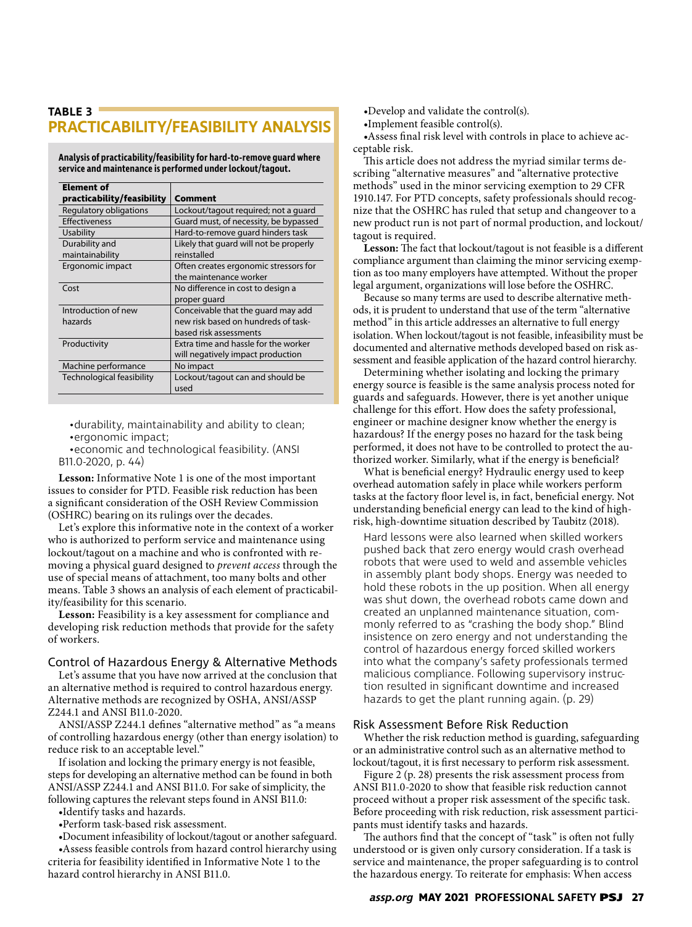# **TABLE 3 PRACTICABILITY/FEASIBILITY ANALYSIS**

**Analysis of practicability/feasibility for hard-to-remove guard where service and maintenance is performed under lockout/tagout.**

| <b>Element of</b>                 |                                                       |  |
|-----------------------------------|-------------------------------------------------------|--|
| practicability/feasibility        | Comment                                               |  |
| Regulatory obligations            | Lockout/tagout required; not a guard                  |  |
| Effectiveness                     | Guard must, of necessity, be bypassed                 |  |
| Usability                         | Hard-to-remove quard hinders task                     |  |
| Durability and<br>maintainability | Likely that quard will not be properly<br>reinstalled |  |
| Ergonomic impact                  | Often creates ergonomic stressors for                 |  |
|                                   | the maintenance worker                                |  |
| Cost                              | No difference in cost to design a                     |  |
|                                   | proper quard                                          |  |
| Introduction of new               | Conceivable that the quard may add                    |  |
| hazards                           | new risk based on hundreds of task-                   |  |
|                                   | based risk assessments                                |  |
| Productivity                      | Extra time and hassle for the worker                  |  |
|                                   | will negatively impact production                     |  |
| Machine performance               | No impact                                             |  |
| Technological feasibility         | Lockout/tagout can and should be                      |  |
|                                   | used                                                  |  |

•durability, maintainability and ability to clean; •ergonomic impact;

•economic and technological feasibility. (ANSI B11.0-2020, p. 44)

**Lesson:** Informative Note 1 is one of the most important issues to consider for PTD. Feasible risk reduction has been a significant consideration of the OSH Review Commission (OSHRC) bearing on its rulings over the decades.

Let's explore this informative note in the context of a worker who is authorized to perform service and maintenance using lockout/tagout on a machine and who is confronted with removing a physical guard designed to *prevent access* through the use of special means of attachment, too many bolts and other means. Table 3 shows an analysis of each element of practicability/feasibility for this scenario.

**Lesson:** Feasibility is a key assessment for compliance and developing risk reduction methods that provide for the safety of workers.

## Control of Hazardous Energy & Alternative Methods

Let's assume that you have now arrived at the conclusion that an alternative method is required to control hazardous energy. Alternative methods are recognized by OSHA, ANSI/ASSP Z244.1 and ANSI B11.0-2020.

ANSI/ASSP Z244.1 defines "alternative method" as "a means of controlling hazardous energy (other than energy isolation) to reduce risk to an acceptable level."

If isolation and locking the primary energy is not feasible, steps for developing an alternative method can be found in both ANSI/ASSP Z244.1 and ANSI B11.0. For sake of simplicity, the following captures the relevant steps found in ANSI B11.0:

•Identify tasks and hazards.

•Perform task-based risk assessment.

•Document infeasibility of lockout/tagout or another safeguard.

•Assess feasible controls from hazard control hierarchy using criteria for feasibility identified in Informative Note 1 to the hazard control hierarchy in ANSI B11.0.

•Develop and validate the control(s).

•Implement feasible control(s).

•Assess final risk level with controls in place to achieve acceptable risk.

This article does not address the myriad similar terms describing "alternative measures" and "alternative protective methods" used in the minor servicing exemption to 29 CFR 1910.147. For PTD concepts, safety professionals should recognize that the OSHRC has ruled that setup and changeover to a new product run is not part of normal production, and lockout/ tagout is required.

**Lesson:** The fact that lockout/tagout is not feasible is a different compliance argument than claiming the minor servicing exemption as too many employers have attempted. Without the proper legal argument, organizations will lose before the OSHRC.

Because so many terms are used to describe alternative methods, it is prudent to understand that use of the term "alternative method" in this article addresses an alternative to full energy isolation. When lockout/tagout is not feasible, infeasibility must be documented and alternative methods developed based on risk assessment and feasible application of the hazard control hierarchy.

Determining whether isolating and locking the primary energy source is feasible is the same analysis process noted for guards and safeguards. However, there is yet another unique challenge for this effort. How does the safety professional, engineer or machine designer know whether the energy is hazardous? If the energy poses no hazard for the task being performed, it does not have to be controlled to protect the authorized worker. Similarly, what if the energy is beneficial?

What is beneficial energy? Hydraulic energy used to keep overhead automation safely in place while workers perform tasks at the factory floor level is, in fact, beneficial energy. Not understanding beneficial energy can lead to the kind of highrisk, high-downtime situation described by Taubitz (2018).

Hard lessons were also learned when skilled workers pushed back that zero energy would crash overhead robots that were used to weld and assemble vehicles in assembly plant body shops. Energy was needed to hold these robots in the up position. When all energy was shut down, the overhead robots came down and created an unplanned maintenance situation, commonly referred to as "crashing the body shop." Blind insistence on zero energy and not understanding the control of hazardous energy forced skilled workers into what the company's safety professionals termed malicious compliance. Following supervisory instruction resulted in significant downtime and increased hazards to get the plant running again. (p. 29)

## Risk Assessment Before Risk Reduction

Whether the risk reduction method is guarding, safeguarding or an administrative control such as an alternative method to lockout/tagout, it is first necessary to perform risk assessment.

Figure 2 (p. 28) presents the risk assessment process from ANSI B11.0-2020 to show that feasible risk reduction cannot proceed without a proper risk assessment of the specific task. Before proceeding with risk reduction, risk assessment participants must identify tasks and hazards.

The authors find that the concept of "task" is often not fully understood or is given only cursory consideration. If a task is service and maintenance, the proper safeguarding is to control the hazardous energy. To reiterate for emphasis: When access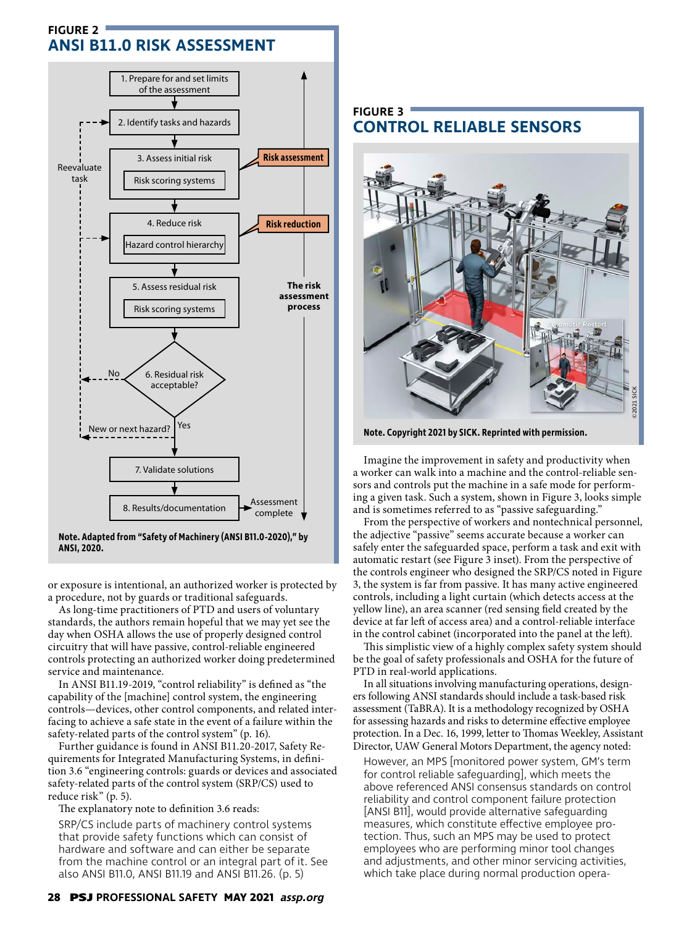# **FIGURE 2 ANSI B11.0 RISK ASSESSMENT**



**ANSI, 2020.**

or exposure is intentional, an authorized worker is protected by a procedure, not by guards or traditional safeguards.

As long-time practitioners of PTD and users of voluntary standards, the authors remain hopeful that we may yet see the day when OSHA allows the use of properly designed control circuitry that will have passive, control-reliable engineered controls protecting an authorized worker doing predetermined service and maintenance.

In ANSI B11.19-2019, "control reliability" is defined as "the capability of the [machine] control system, the engineering controls—devices, other control components, and related interfacing to achieve a safe state in the event of a failure within the safety-related parts of the control system" (p. 16).

Further guidance is found in ANSI B11.20-2017, Safety Requirements for Integrated Manufacturing Systems, in definition 3.6 "engineering controls: guards or devices and associated safety-related parts of the control system (SRP/CS) used to reduce risk" (p. 5).

The explanatory note to definition 3.6 reads:

SRP/CS include parts of machinery control systems that provide safety functions which can consist of hardware and software and can either be separate from the machine control or an integral part of it. See also ANSI B11.0, ANSI B11.19 and ANSI B11.26. (p. 5)

# **FIGURE 3 CONTROL RELIABLE SENSORS**



**Note. Copyright 2021 by SICK. Reprinted with permission.**

Imagine the improvement in safety and productivity when a worker can walk into a machine and the control-reliable sensors and controls put the machine in a safe mode for performing a given task. Such a system, shown in Figure 3, looks simple and is sometimes referred to as "passive safeguarding."

From the perspective of workers and nontechnical personnel, the adjective "passive" seems accurate because a worker can safely enter the safeguarded space, perform a task and exit with automatic restart (see Figure 3 inset). From the perspective of the controls engineer who designed the SRP/CS noted in Figure 3, the system is far from passive. It has many active engineered controls, including a light curtain (which detects access at the yellow line), an area scanner (red sensing field created by the device at far left of access area) and a control-reliable interface in the control cabinet (incorporated into the panel at the left).

This simplistic view of a highly complex safety system should be the goal of safety professionals and OSHA for the future of PTD in real-world applications.

In all situations involving manufacturing operations, designers following ANSI standards should include a task-based risk assessment (TaBRA). It is a methodology recognized by OSHA for assessing hazards and risks to determine effective employee protection. In a Dec. 16, 1999, letter to Thomas Weekley, Assistant Director, UAW General Motors Department, the agency noted:

However, an MPS [monitored power system, GM's term for control reliable safeguarding], which meets the above referenced ANSI consensus standards on control reliability and control component failure protection [ANSI B11], would provide alternative safeguarding measures, which constitute effective employee protection. Thus, such an MPS may be used to protect employees who are performing minor tool changes and adjustments, and other minor servicing activities, which take place during normal production opera-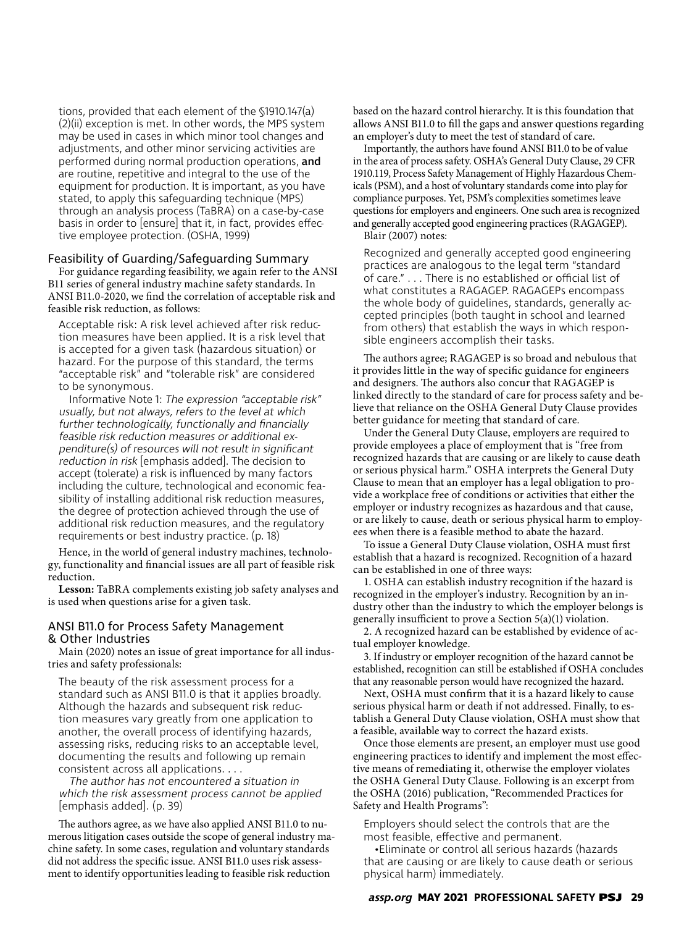tions, provided that each element of the §1910.147(a) (2)(ii) exception is met. In other words, the MPS system may be used in cases in which minor tool changes and adjustments, and other minor servicing activities are performed during normal production operations, and are routine, repetitive and integral to the use of the equipment for production. It is important, as you have stated, to apply this safeguarding technique (MPS) through an analysis process (TaBRA) on a case-by-case basis in order to [ensure] that it, in fact, provides effective employee protection. (OSHA, 1999)

#### Feasibility of Guarding/Safeguarding Summary

For guidance regarding feasibility, we again refer to the ANSI B11 series of general industry machine safety standards. In ANSI B11.0-2020, we find the correlation of acceptable risk and feasible risk reduction, as follows:

Acceptable risk: A risk level achieved after risk reduction measures have been applied. It is a risk level that is accepted for a given task (hazardous situation) or hazard. For the purpose of this standard, the terms "acceptable risk" and "tolerable risk" are considered to be synonymous.

Informative Note 1: The expression "acceptable risk" usually, but not always, refers to the level at which further technologically, functionally and financially feasible risk reduction measures or additional expenditure(s) of resources will not result in significant reduction in risk [emphasis added]. The decision to accept (tolerate) a risk is influenced by many factors including the culture, technological and economic feasibility of installing additional risk reduction measures, the degree of protection achieved through the use of additional risk reduction measures, and the regulatory requirements or best industry practice. (p. 18)

Hence, in the world of general industry machines, technology, functionality and financial issues are all part of feasible risk reduction.

**Lesson:** TaBRA complements existing job safety analyses and is used when questions arise for a given task.

## ANSI B11.0 for Process Safety Management & Other Industries

Main (2020) notes an issue of great importance for all industries and safety professionals:

The beauty of the risk assessment process for a standard such as ANSI B11.0 is that it applies broadly. Although the hazards and subsequent risk reduction measures vary greatly from one application to another, the overall process of identifying hazards, assessing risks, reducing risks to an acceptable level, documenting the results and following up remain consistent across all applications. . . .

The author has not encountered a situation in which the risk assessment process cannot be applied [emphasis added]. (p. 39)

The authors agree, as we have also applied ANSI B11.0 to numerous litigation cases outside the scope of general industry machine safety. In some cases, regulation and voluntary standards did not address the specific issue. ANSI B11.0 uses risk assessment to identify opportunities leading to feasible risk reduction

based on the hazard control hierarchy. It is this foundation that allows ANSI B11.0 to fill the gaps and answer questions regarding an employer's duty to meet the test of standard of care.

Importantly, the authors have found ANSI B11.0 to be of value in the area of process safety. OSHA's General Duty Clause, 29 CFR 1910.119, Process Safety Management of Highly Hazardous Chemicals (PSM), and a host of voluntary standards come into play for compliance purposes. Yet, PSM's complexities sometimes leave questions for employers and engineers. One such area is recognized and generally accepted good engineering practices (RAGAGEP). Blair (2007) notes:

Recognized and generally accepted good engineering practices are analogous to the legal term "standard of care." . . . There is no established or official list of what constitutes a RAGAGEP. RAGAGEPs encompass the whole body of guidelines, standards, generally accepted principles (both taught in school and learned from others) that establish the ways in which responsible engineers accomplish their tasks.

The authors agree; RAGAGEP is so broad and nebulous that it provides little in the way of specific guidance for engineers and designers. The authors also concur that RAGAGEP is linked directly to the standard of care for process safety and believe that reliance on the OSHA General Duty Clause provides better guidance for meeting that standard of care.

Under the General Duty Clause, employers are required to provide employees a place of employment that is "free from recognized hazards that are causing or are likely to cause death or serious physical harm." OSHA interprets the General Duty Clause to mean that an employer has a legal obligation to provide a workplace free of conditions or activities that either the employer or industry recognizes as hazardous and that cause, or are likely to cause, death or serious physical harm to employees when there is a feasible method to abate the hazard.

To issue a General Duty Clause violation, OSHA must first establish that a hazard is recognized. Recognition of a hazard can be established in one of three ways:

1. OSHA can establish industry recognition if the hazard is recognized in the employer's industry. Recognition by an industry other than the industry to which the employer belongs is generally insufficient to prove a Section 5(a)(1) violation.

2. A recognized hazard can be established by evidence of actual employer knowledge.

3. If industry or employer recognition of the hazard cannot be established, recognition can still be established if OSHA concludes that any reasonable person would have recognized the hazard.

Next, OSHA must confirm that it is a hazard likely to cause serious physical harm or death if not addressed. Finally, to establish a General Duty Clause violation, OSHA must show that a feasible, available way to correct the hazard exists.

Once those elements are present, an employer must use good engineering practices to identify and implement the most effective means of remediating it, otherwise the employer violates the OSHA General Duty Clause. Following is an excerpt from the OSHA (2016) publication, "Recommended Practices for Safety and Health Programs":

Employers should select the controls that are the most feasible, effective and permanent.

•Eliminate or control all serious hazards (hazards that are causing or are likely to cause death or serious physical harm) immediately.